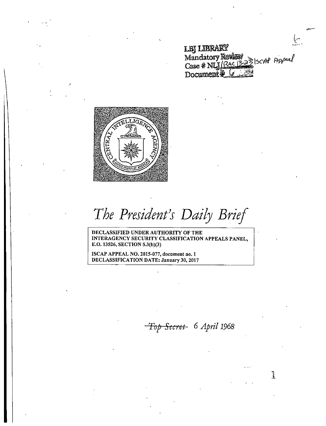**IBILIBRARY** Mandatory Review<br>Case # NLJ (RAC 13-23) SCAP Appeal T):



*The President}s Daily Brief* 

DECLASSIFIED UNDER AUTHORITY OF THE INTERAGENCY SECURITY CLASSIFICATION APPEALS PANEL, E.O. 13526, SECTION 5.3(b)(3)

ISCAP APPEAL NO. 2015-077, document no. 1 DECLASSIFICATION DATE: January 30, 2017

*Top Secret* 6 *April 1968* 

 $\mathbf{A}$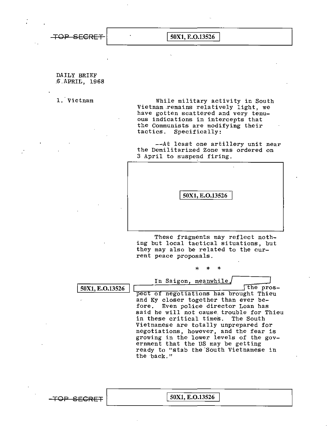$\overline{+}$ OP SECRET  $\vert$  50X1, E.O.13526

DAILY BRIEF .6.. APRIL, 1968

1. Vietnam While military activity in South Vietnam.remains relatively light, we have gotten scattered and very tenuous indications in intercepts that the Communists are modifying their tactics. Specifically:

> -~At least one artillery unit near the Demilitarized Zone was ordered on 3 April to suspend firing.



These fragments may reflect noth ing but local tactical situations, but they may also be related to the current peace proposals.

\* \* \*

In Saigon, meanwhile./

I 50Xl, E.0.13526 \

the pros pect of negotiations has brought Thieu and Ky closer together than ever before. Even police director Loan has said he will not cause trouble for Thieu<br>in these critical times. The South in these critical times. Vietnamese are totally unprepared for negotiations, however, and the fear is growing in the lower levels of the government that the US may be getting ready to "stab the South Vietnamese in the ·back. "

 $-$ TOP SECRET  $\vert$  50X1, E.O.13526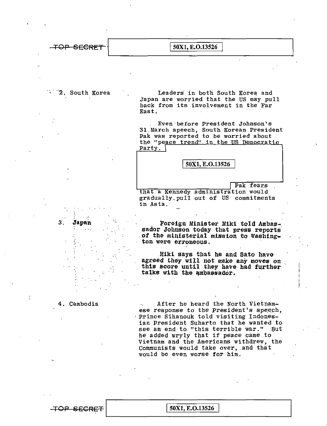

**2. South Korea** 

Leaders in both South Korea and Japan are worried that the US may pull back from its involvement in the Far East.

. Even ·before President Johnson·•s 31.March speech, South Korean President Pak was reported to be worried about the "peace trend" in the US Democratic Party.

50Xl, E.0.13526

I

Pak fears

that a Kennedy administration would gradually.pull out of us· commitments in Asia.

Foreign Minister Miki told Ambassador Johnson today that press reports .of the ministerial mission to Washington were erroneous.

Miki says that he and Sato have agreed they will not make any moves on this score until they have had further talks with the ambassador.

4. Cambodia

3. **Japan** 

 $\ddot{r}$  ,  $\ddot{r}$ 

·'-:.

 $\overline{+}\overline{OP}$  SECRET  $\vert$  50X1, E.O.13526

After he heard the North Vietnamese response to the Porth Vietnam-<br>ese response to the President's speech, ·Prince Sihanouk told visiting Indonesian President Suharto that he wanted to see an end to "this terrible war." But he added wryly that if peace came to' Vietnam and the Americans withdrew, the Communists would take over, and that would be even worse for him.

~~~~~~~~~~~~~~~~~~~~~~~~~~~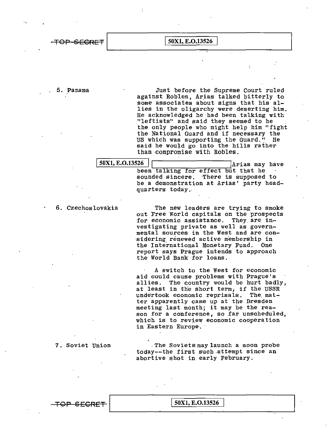## TOP SECRET 50X1, E.O.13526

.,

5. Panama Just before the Supreme Court ruled against Robles, Arias talked bitterly to some associates about signs that his allies in the oligarchy were deserting him. He acknowledged he·had been.talking with "leftists" and said they seemed to be the only people who might help him "fight the National Guard and if necessary the US which was supporting the Guard." He said he would go into the hills rather than.compromise with Robles.

 $\textcolor{red}{\textbf{TOP} \textbf{SCRF}}$   $\vert$  50X1, E.O.13526

 $\frac{50X1, E.0.13526}{$   $\boxed{\qquad \qquad }$  Arias may have been talking for effect but that he sounded sincere. There is supposed to be a demonstration at Arias' party headquarters today ..

6. Czechoslovakia The new leaders are trying to smoke out Free World capitals on the prospects for economic assistance. They are investigating private as well as governmental sources in the West and are con sidering renewed active membership in the International Monetary Fund. One report says Prague intends to approach the World Bank for loans.

> A switch to the West for economic aid could cause problems with Prague's allies. The country would be hurt badly, at least in the short term, if the USSR<br>undertook economic reprisals. The matundertook economic reprisals. ter apparently came up at the Dresden meeting last month; it may be the reason for a conference, so far unscheduled, which is to review economic cooperation in Eastern Europe. ·

7. Soviet Union . The Soviets may launch a moon probe today--the first such.attempt since an abortive shot in early February.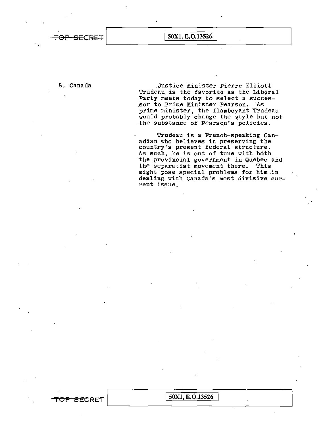TOP SECRET  $\boxed{\text{50X1}, \text{E.O.13526}}$ 

8. Canada .Justice Minister Pierre Elliot.t Trudeau is the favorite as the Liberal Party meets today to select a successor to Prime Minister Pearson. "As prime minister, the flamboyant Trudeau would probably change the style but not .the substance of Pearson's policies.

> Trudeau is a French-speaking Can' adian who believes in preserving the country's present federal structure. As such, he is out of tune with both the provincial government in Quebec and the separatist movement there. This might pose special problems for him.in dealing with Canada's most divisive current issue.

TOP SECRET 50X1, E.O.13526